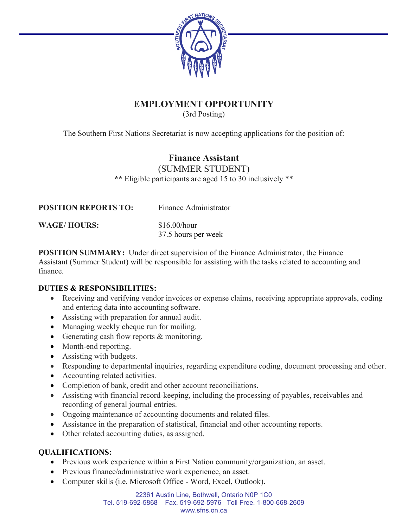

# **EMPLOYMENT OPPORTUNITY**

(3rd Posting)

The Southern First Nations Secretariat is now accepting applications for the position of:

# **Finance Assistant**

(SUMMER STUDENT) **\*\*** Eligible participants are aged 15 to 30 inclusively \*\*

| <b>POSITION REPORTS TO:</b> | Finance Administrator               |
|-----------------------------|-------------------------------------|
| <b>WAGE/HOURS:</b>          | \$16.00/hour<br>37.5 hours per week |

**POSITION SUMMARY:** Under direct supervision of the Finance Administrator, the Finance Assistant (Summer Student) will be responsible for assisting with the tasks related to accounting and finance.

#### **DUTIES & RESPONSIBILITIES:**

- Receiving and verifying vendor invoices or expense claims, receiving appropriate approvals, coding and entering data into accounting software.
- Assisting with preparation for annual audit.
- Managing weekly cheque run for mailing.
- Generating cash flow reports & monitoring.
- Month-end reporting.
- Assisting with budgets.
- Responding to departmental inquiries, regarding expenditure coding, document processing and other.
- Accounting related activities.
- Completion of bank, credit and other account reconciliations.
- Assisting with financial record-keeping, including the processing of payables, receivables and recording of general journal entries.
- Ongoing maintenance of accounting documents and related files.
- Assistance in the preparation of statistical, financial and other accounting reports.
- Other related accounting duties, as assigned.

## **QUALIFICATIONS:**

- Previous work experience within a First Nation community/organization, an asset.
- Previous finance/administrative work experience, an asset.
- Computer skills (i.e. Microsoft Office Word, Excel, Outlook).